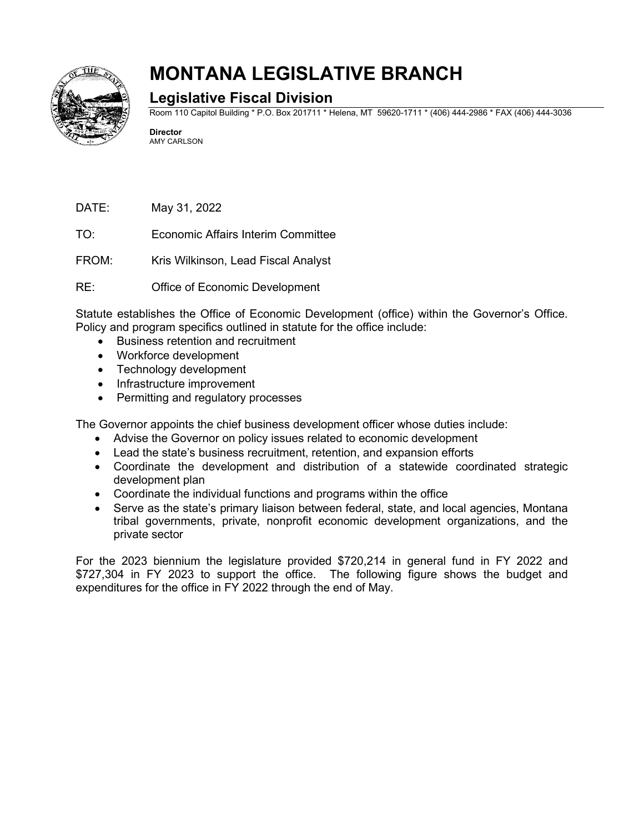

## **MONTANA LEGISLATIVE BRANCH**

## **Legislative Fiscal Division**

Room 110 Capitol Building \* P.O. Box 201711 \* Helena, MT 59620-1711 \* (406) 444-2986 \* FAX (406) 444-3036

**Director** AMY CARLSON

DATE: May 31, 2022

TO: Economic Affairs Interim Committee

FROM: Kris Wilkinson, Lead Fiscal Analyst

RE: Office of Economic Development

Statute establishes the Office of Economic Development (office) within the Governor's Office. Policy and program specifics outlined in statute for the office include:

- Business retention and recruitment
- Workforce development
- Technology development
- Infrastructure improvement
- Permitting and regulatory processes

The Governor appoints the chief business development officer whose duties include:

- Advise the Governor on policy issues related to economic development
- Lead the state's business recruitment, retention, and expansion efforts
- Coordinate the development and distribution of a statewide coordinated strategic development plan
- Coordinate the individual functions and programs within the office
- Serve as the state's primary liaison between federal, state, and local agencies, Montana tribal governments, private, nonprofit economic development organizations, and the private sector

For the 2023 biennium the legislature provided \$720,214 in general fund in FY 2022 and \$727,304 in FY 2023 to support the office. The following figure shows the budget and expenditures for the office in FY 2022 through the end of May.